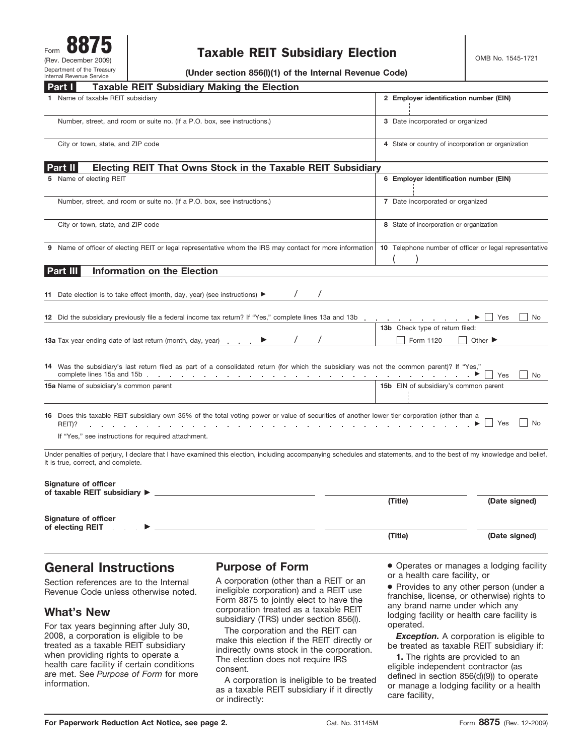# Taxable REIT Subsidiary Election **CELA Subsidiary Report CLA COMB No. 1545-1721**

**(Under section 856(l)(1) of the Internal Revenue Code)**

| <b>Taxable REIT Subsidiary Making the Election</b><br>Part II                                                                                                                                                                                                                                                                                                                                                                                                                    |                                                        |                                          |
|----------------------------------------------------------------------------------------------------------------------------------------------------------------------------------------------------------------------------------------------------------------------------------------------------------------------------------------------------------------------------------------------------------------------------------------------------------------------------------|--------------------------------------------------------|------------------------------------------|
| Name of taxable REIT subsidiary                                                                                                                                                                                                                                                                                                                                                                                                                                                  | 2 Employer identification number (EIN)                 |                                          |
| Number, street, and room or suite no. (If a P.O. box, see instructions.)                                                                                                                                                                                                                                                                                                                                                                                                         | 3 Date incorporated or organized                       |                                          |
| City or town, state, and ZIP code                                                                                                                                                                                                                                                                                                                                                                                                                                                | 4 State or country of incorporation or organization    |                                          |
| Electing REIT That Owns Stock in the Taxable REIT Subsidiary<br>Part II                                                                                                                                                                                                                                                                                                                                                                                                          |                                                        |                                          |
| 5 Name of electing REIT                                                                                                                                                                                                                                                                                                                                                                                                                                                          | 6 Employer identification number (EIN)                 |                                          |
| Number, street, and room or suite no. (If a P.O. box, see instructions.)                                                                                                                                                                                                                                                                                                                                                                                                         | 7 Date incorporated or organized                       |                                          |
| City or town, state, and ZIP code                                                                                                                                                                                                                                                                                                                                                                                                                                                | 8 State of incorporation or organization               |                                          |
| 9 Name of officer of electing REIT or legal representative whom the IRS may contact for more information                                                                                                                                                                                                                                                                                                                                                                         | 10 Telephone number of officer or legal representative |                                          |
| <b>Information on the Election</b><br>Part III                                                                                                                                                                                                                                                                                                                                                                                                                                   |                                                        |                                          |
| Date election is to take effect (month, day, year) (see instructions) ▶<br>12 Did the subsidiary previously file a federal income tax return? If "Yes," complete lines 13a and 13b<br>13a Tax year ending date of last return (month, day, year)                                                                                                                                                                                                                                 | 13b Check type of return filed:<br>Form 1120           | Yes<br>No<br>Other $\blacktriangleright$ |
| 14 Was the subsidiary's last return filed as part of a consolidated return (for which the subsidiary was not the common parent)? If "Yes,"<br>complete lines 15a and 15b entry and the complete lines 15a and 15b entry and complete lines 15a and 15b entry and complete lines in the complete lines of the complete lines of the complete lines of the complete lines of t                                                                                                     | $\mathbf{A}$                                           | Yes<br>No                                |
| 15a Name of subsidiary's common parent                                                                                                                                                                                                                                                                                                                                                                                                                                           | 15b EIN of subsidiary's common parent                  |                                          |
| 16 Does this taxable REIT subsidiary own 35% of the total voting power or value of securities of another lower tier corporation (other than a<br>REIT)?<br>design a strategies of the state of the state of the state of the state of the state of the state of the state of the state of the state of the state of the state of the state of the state of the state of the state of the<br>and a strain and a strain and<br>If "Yes," see instructions for required attachment. |                                                        | l No<br>  Yes                            |
| Under penalties of perjury, I declare that I have examined this election, including accompanying schedules and statements, and to the best of my knowledge and belief,<br>it is true, correct, and complete.                                                                                                                                                                                                                                                                     |                                                        |                                          |
| <b>Signature of officer</b><br>of taxable REIT subsidiary $\blacktriangleright$ _                                                                                                                                                                                                                                                                                                                                                                                                | (Title)                                                | (Date signed)                            |
| Signature of officer<br>of electing REIT                                                                                                                                                                                                                                                                                                                                                                                                                                         |                                                        |                                          |
|                                                                                                                                                                                                                                                                                                                                                                                                                                                                                  | (Title)                                                | (Date signed)                            |

## **General Instructions**

Section references are to the Internal Revenue Code unless otherwise noted.

## **What's New**

For tax years beginning after July 30, 2008, a corporation is eligible to be treated as a taxable REIT subsidiary when providing rights to operate a health care facility if certain conditions are met. See *Purpose of Form* for more

### **Purpose of Form**

A corporation (other than a REIT or an ineligible corporation) and a REIT use Form 8875 to jointly elect to have the corporation treated as a taxable REIT subsidiary (TRS) under section 856(l).

The corporation and the REIT can make this election if the REIT directly or indirectly owns stock in the corporation. The election does not require IRS consent.

A corporation is ineligible to be treated as a taxable REIT subsidiary if it directly or indirectly:

● Operates or manages a lodging facility or a health care facility, or

● Provides to any other person (under a franchise, license, or otherwise) rights to any brand name under which any lodging facility or health care facility is operated.

**Exception.** A corporation is eligible to be treated as taxable REIT subsidiary if:

**1.** The rights are provided to an eligible independent contractor (as defined in section 856(d)(9)) to operate or manage a lodging facility or a health care facility,